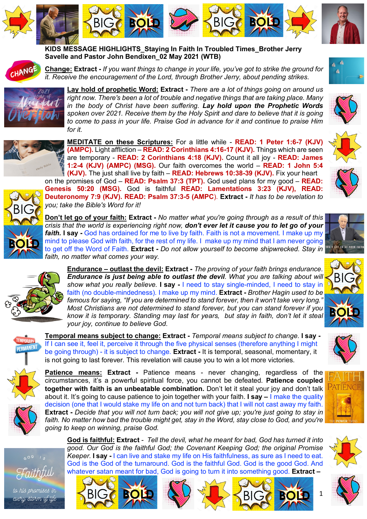





**KIDS MESSAGE HIGHLIGHTS\_Staying In Faith In Troubled Times\_Brother Jerry Savelle and Pastor John Bendixen\_02 May 2021 (WTB)**



**Change: Extract -** *If you want things to change in your life, you've got to strike the ground for it. Receive the encouragement of the Lord, through Brother Jerry, about pending strikes.* 



**Lay hold of prophetic Word: Extract -** *There are a lot of things going on around us right now. There's been a lot of trouble and negative things that are taking place. Many in the body of Christ have been suffering. Lay hold upon the Prophetic Words spoken over 2021. Receive them by the Holy Spirit and dare to believe that it is going to come to pass in your life. Praise God in advance for it and continue to praise Him for it.* 



*you; take the Bible's Word for it!* 

**MEDITATE on these Scriptures:** For a little while - **READ: 1 Peter 1:6-7 (KJV) (AMPC).** Light affliction – **READ: 2 Corinthians 4:16-17 (KJV).** Things which are seen are temporary - **READ: 2 Corinthians 4:18 (KJV).** Count it all joy - **READ: James 1:2-4 (KJV) (AMPC) (MSG).** Our faith overcomes the world – **READ: 1 John 5:4 (KJV).** The just shall live by faith – **READ: Hebrews 10:38-39 (KJV).** Fix your heart on the promises of God – **READ: Psalm 37:3 (TPT).** God used plans for my good – **READ: Genesis 50:20 (MSG).** God is faithful **READ: Lamentations 3:23 (KJV), READ:** 



**Don't let go of your faith: Extract -** *No matter what you're going through as a result of this crisis that the world is experiencing right now, don't ever let it cause you to let go of your faith.* **I say -** God has ordained for me to live by faith. Faith is not a movement. I make up my mind to please God with faith, for the rest of my life. I make up my mind that I am never going to get off the Word of Faith. **Extract -** *Do not allow yourself to become shipwrecked. Stay in faith, no matter what comes your way.* 

**Deuteronomy 7:9 (KJV). READ: Psalm 37:3-5 (AMPC**). **Extract -** *It has to be revelation to* 



**Endurance – outlast the devil: Extract -** *The proving of your faith brings endurance. Endurance is just being able to outlast the devil. What you are talking about will show what you really believe.* **I say -** I need to stay single-minded, I need to stay in faith (no double-mindedness). I make up my mind. **Extract -** *Brother Hagin used to be famous for saying, "If you are determined to stand forever, then it won't take very long." Most Christians are not determined to stand forever, but you can stand forever if you know it is temporary. Standing may last for years, but stay in faith, don't let it steal your joy, continue to believe God.* 







**Patience means: Extract -** Patience means - never changing, regardless of the circumstances, it's a powerful spiritual force, you cannot be defeated. **Patience coupled together with faith is an unbeatable combination.** Don't let it steal your joy and don't talk about it. It's going to cause patience to join together with your faith. **I say –** I make the quality decision (one that I would stake my life on and not turn back) that I will not cast away my faith. **Extract -** *Decide that you will not turn back; you will not give up; you're just going to stay in*  faith. No matter how bad the trouble might get, stay in the Word, stay close to God, and you're *going to keep on winning, praise God.* 

**God is faithful: Extract** *- Tell the devil, what he meant for bad, God has turned it into good. Our God is the faithful God; the Covenant Keeping God; the original Promise Keeper.* **I say -** I can live and stake my life on His faithfulness, as sure as I need to eat. God is the God of the turnaround. God is the faithful God. God is the good God. And whatever satan meant for bad, God is going to turn it into something good. **Extract –**















1



to his promises in every storm of life